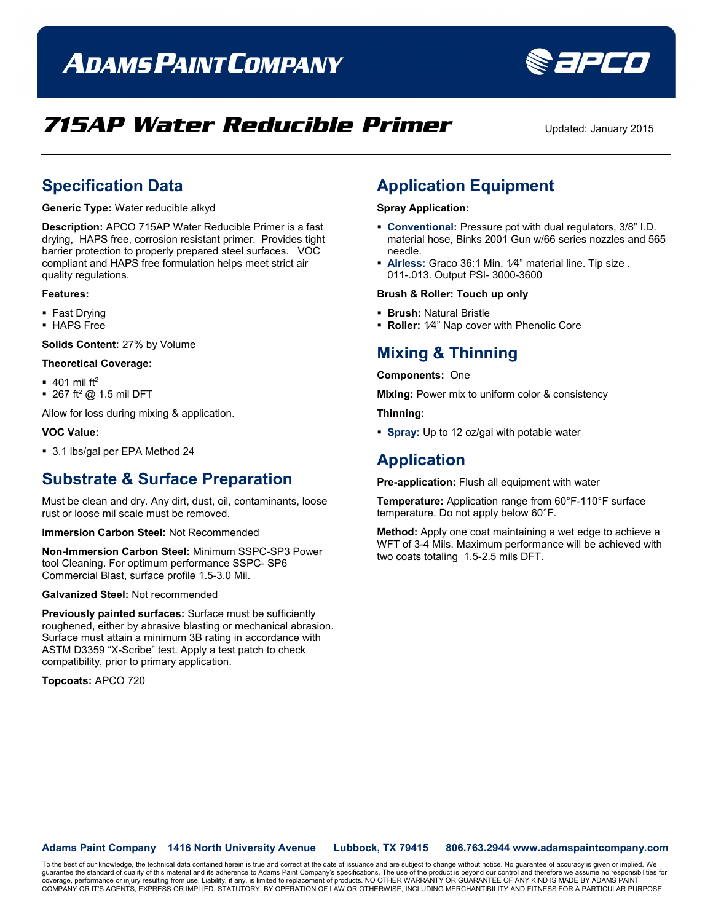# **ADAMS PAINT COMPANY**



Sapeo

### **Specification Data**

**Generic Type:** Water reducible alkyd

**Description:** APCO 715AP Water Reducible Primer is a fast drying, HAPS free, corrosion resistant primer. Provides tight barrier protection to properly prepared steel surfaces. VOC compliant and HAPS free formulation helps meet strict air quality regulations.

#### **Features:**

- **Fast Drying**
- **HAPS** Free

**Solids Content:** 27% by Volume

### **Theoretical Coverage:**

- $\blacksquare$  401 mil ft<sup>2</sup>
- $\blacksquare$  267 ft<sup>2</sup> @ 1.5 mil DFT

Allow for loss during mixing & application.

#### **VOC Value:**

■ 3.1 lbs/gal per EPA Method 24

### **Substrate & Surface Preparation**

Must be clean and dry. Any dirt, dust, oil, contaminants, loose rust or loose mil scale must be removed.

**Immersion Carbon Steel:** Not Recommended

**Non-Immersion Carbon Steel:** Minimum SSPC-SP3 Power tool Cleaning. For optimum performance SSPC- SP6 Commercial Blast, surface profile 1.5-3.0 Mil.

### **Galvanized Steel:** Not recommended

**Previously painted surfaces:** Surface must be sufficiently roughened, either by abrasive blasting or mechanical abrasion. Surface must attain a minimum 3B rating in accordance with ASTM D3359 "X-Scribe" test. Apply a test patch to check compatibility, prior to primary application.

**Topcoats:** APCO 720

## **Application Equipment**

### **Spray Application:**

- **Conventional:** Pressure pot with dual regulators, 3/8" I.D. material hose, Binks 2001 Gun w/66 series nozzles and 565 needle.
- **Airless:** Graco 36:1 Min. 1⁄4" material line. Tip size . 011-.013. Output PSI- 3000-3600

#### **Brush & Roller: Touch up only**

- **Brush:** Natural Bristle
- **Roller:** 1⁄4" Nap cover with Phenolic Core

## **Mixing & Thinning**

#### **Components:** One

**Mixing:** Power mix to uniform color & consistency

**Thinning:**

**Spray:** Up to 12 oz/gal with potable water

### **Application**

**Pre-application:** Flush all equipment with water

**Temperature:** Application range from 60°F-110°F surface temperature. Do not apply below 60°F.

**Method:** Apply one coat maintaining a wet edge to achieve a WFT of 3-4 Mils. Maximum performance will be achieved with two coats totaling 1.5-2.5 mils DFT.

**Adams Paint Company 1416 North University Avenue Lubbock, TX 79415 806.763.2944 www.adamspaintcompany.com**

To the best of our knowledge, the technical data contained herein is true and correct at the date of issuance and are subject to change without notice. No guarantee of accuracy is given or implied. We<br>quarantee the standar guarantee the standard of quality of this material and its adherence to Adams Paint Company's specifications. The use of the product is beyond our control and therefore we as coverage, performance or injury resulting from use. Liability, if any, is limited to replacement of products. NO OTHER WARRANTY OR GUARANTEE OF ANY KIND IS MADE BY ADAMS PAINT<br>COMPANY OR IT'S AGENTS, EXPRESS OR IMPLIED, ST